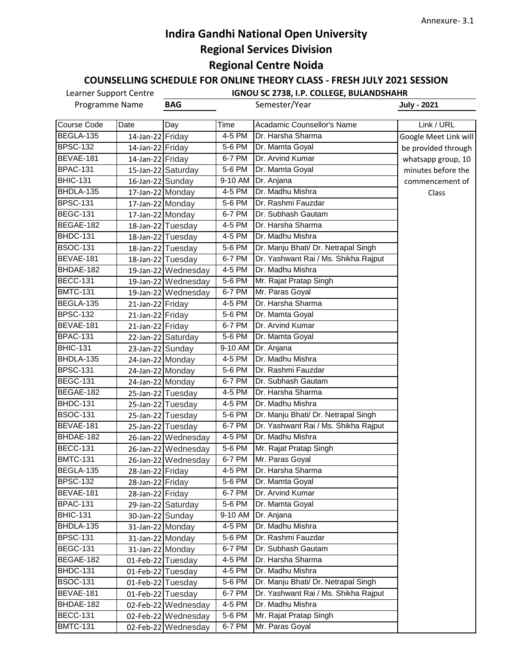### **COUNSELLING SCHEDULE FOR ONLINE THEORY CLASS - FRESH JULY 2021 SESSION**

| Programme Name  |                   | <b>BAG</b>          |                       | Semester/Year                        | <b>July - 2021</b>    |
|-----------------|-------------------|---------------------|-----------------------|--------------------------------------|-----------------------|
| Course Code     | Date              | Day                 | Time                  | Acadamic Counsellor's Name           | Link / URL            |
| BEGLA-135       | 14-Jan-22 Friday  |                     | 4-5 PM                | Dr. Harsha Sharma                    | Google Meet Link will |
| <b>BPSC-132</b> | 14-Jan-22 Friday  |                     | 5-6 PM                | Dr. Mamta Goyal                      | be provided through   |
| BEVAE-181       | 14-Jan-22 Friday  |                     | 6-7 PM                | Dr. Arvind Kumar                     | whatsapp group, 10    |
| <b>BPAC-131</b> |                   | 15-Jan-22 Saturday  | 5-6 PM                | Dr. Mamta Goyal                      | minutes before the    |
| <b>BHIC-131</b> | 16-Jan-22 Sunday  |                     | $\overline{9}$ -10 AM | Dr. Anjana                           | commencement of       |
| BHDLA-135       | 17-Jan-22 Monday  |                     | 4-5 PM                | Dr. Madhu Mishra                     | Class                 |
| BPSC-131        | 17-Jan-22 Monday  |                     | 5-6 PM                | Dr. Rashmi Fauzdar                   |                       |
| <b>BEGC-131</b> | 17-Jan-22 Monday  |                     | 6-7 PM                | Dr. Subhash Gautam                   |                       |
| BEGAE-182       |                   | 18-Jan-22 Tuesday   | 4-5 PM                | Dr. Harsha Sharma                    |                       |
| <b>BHDC-131</b> |                   | 18-Jan-22 Tuesday   | 4-5 PM                | Dr. Madhu Mishra                     |                       |
| <b>BSOC-131</b> |                   | 18-Jan-22 Tuesday   | 5-6 PM                | Dr. Manju Bhati/ Dr. Netrapal Singh  |                       |
| BEVAE-181       |                   | 18-Jan-22 Tuesday   | 6-7 PM                | Dr. Yashwant Rai / Ms. Shikha Rajput |                       |
| BHDAE-182       |                   | 19-Jan-22 Wednesday | 4-5 PM                | Dr. Madhu Mishra                     |                       |
| <b>BECC-131</b> |                   | 19-Jan-22 Wednesday | $5-6$ PM              | Mr. Rajat Pratap Singh               |                       |
| <b>BMTC-131</b> |                   | 19-Jan-22 Wednesday | 6-7 PM                | Mr. Paras Goyal                      |                       |
| BEGLA-135       | 21-Jan-22 Friday  |                     | 4-5 PM                | Dr. Harsha Sharma                    |                       |
| <b>BPSC-132</b> | 21-Jan-22 Friday  |                     | 5-6 PM                | Dr. Mamta Goyal                      |                       |
| BEVAE-181       | 21-Jan-22 Friday  |                     | 6-7 PM                | Dr. Arvind Kumar                     |                       |
| <b>BPAC-131</b> |                   | 22-Jan-22 Saturday  | $\overline{5}$ -6 PM  | Dr. Mamta Goyal                      |                       |
| <b>BHIC-131</b> | 23-Jan-22 Sunday  |                     | 9-10 AM               | Dr. Anjana                           |                       |
| BHDLA-135       | 24-Jan-22 Monday  |                     | 4-5 PM                | Dr. Madhu Mishra                     |                       |
| <b>BPSC-131</b> | 24-Jan-22 Monday  |                     | 5-6 PM                | Dr. Rashmi Fauzdar                   |                       |
| <b>BEGC-131</b> | 24-Jan-22 Monday  |                     | 6-7 PM                | Dr. Subhash Gautam                   |                       |
| BEGAE-182       |                   | 25-Jan-22 Tuesday   | 4-5 PM                | <b>I</b> Dr. Harsha Sharma           |                       |
| <b>BHDC-131</b> |                   | 25-Jan-22 Tuesday   | 4-5 PM                | Dr. Madhu Mishra                     |                       |
| <b>BSOC-131</b> |                   | 25-Jan-22 Tuesday   | 5-6 PM                | Dr. Manju Bhati/ Dr. Netrapal Singh  |                       |
| BEVAE-181       |                   | 25-Jan-22 Tuesday   | 6-7 PM                | Dr. Yashwant Rai / Ms. Shikha Rajput |                       |
| BHDAE-182       |                   | 26-Jan-22 Wednesday | 4-5 PM                | Dr. Madhu Mishra                     |                       |
| <b>BECC-131</b> |                   | 26-Jan-22 Wednesday | 5-6 PM                | Mr. Rajat Pratap Singh               |                       |
| <b>BMTC-131</b> |                   | 26-Jan-22 Wednesday | 6-7 PM                | Mr. Paras Goyal                      |                       |
| BEGLA-135       | 28-Jan-22 Friday  |                     | 4-5 PM                | Dr. Harsha Sharma                    |                       |
| <b>BPSC-132</b> | 28-Jan-22 Friday  |                     | 5-6 PM                | Dr. Mamta Goyal                      |                       |
| BEVAE-181       | 28-Jan-22 Friday  |                     | 6-7 PM                | Dr. Arvind Kumar                     |                       |
| <b>BPAC-131</b> |                   | 29-Jan-22 Saturday  | 5-6 PM                | Dr. Mamta Goyal                      |                       |
| <b>BHIC-131</b> | 30-Jan-22 Sunday  |                     | 9-10 AM               | Dr. Anjana                           |                       |
| BHDLA-135       | 31-Jan-22 Monday  |                     | 4-5 PM                | Dr. Madhu Mishra                     |                       |
| <b>BPSC-131</b> | 31-Jan-22 Monday  |                     | 5-6 PM                | Dr. Rashmi Fauzdar                   |                       |
| <b>BEGC-131</b> | 31-Jan-22 Monday  |                     | 6-7 PM                | Dr. Subhash Gautam                   |                       |
| BEGAE-182       | 01-Feb-22 Tuesday |                     | 4-5 PM                | Dr. Harsha Sharma                    |                       |
| BHDC-131        | 01-Feb-22 Tuesday |                     | 4-5 PM                | Dr. Madhu Mishra                     |                       |
| <b>BSOC-131</b> | 01-Feb-22 Tuesday |                     | 5-6 PM                | Dr. Manju Bhati/ Dr. Netrapal Singh  |                       |
| BEVAE-181       | 01-Feb-22 Tuesday |                     | 6-7 PM                | Dr. Yashwant Rai / Ms. Shikha Rajput |                       |
| BHDAE-182       |                   | 02-Feb-22 Wednesday | 4-5 PM                | Dr. Madhu Mishra                     |                       |
| <b>BECC-131</b> |                   | 02-Feb-22 Wednesday | 5-6 PM                | Mr. Rajat Pratap Singh               |                       |
| <b>BMTC-131</b> |                   | 02-Feb-22 Wednesday | 6-7 PM                | Mr. Paras Goyal                      |                       |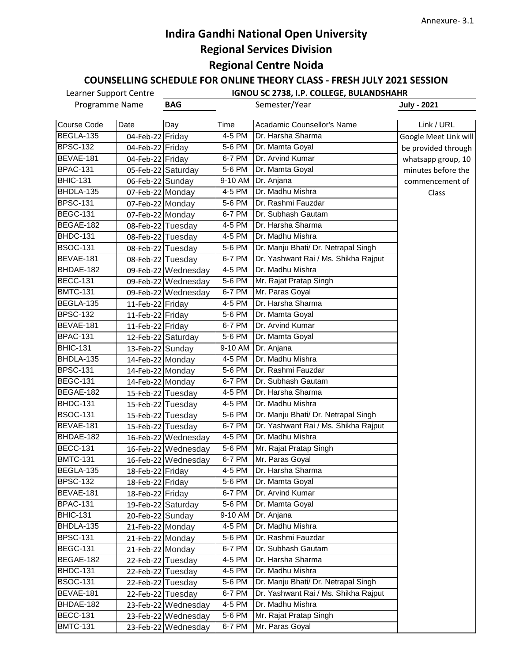### **COUNSELLING SCHEDULE FOR ONLINE THEORY CLASS - FRESH JULY 2021 SESSION**

| Programme Name  |                   | <b>BAG</b>          |                       | Semester/Year                        | <b>July - 2021</b>    |
|-----------------|-------------------|---------------------|-----------------------|--------------------------------------|-----------------------|
| Course Code     | Date              | Day                 | Time                  | Acadamic Counsellor's Name           | Link / URL            |
| BEGLA-135       | 04-Feb-22 Friday  |                     | 4-5 PM                | Dr. Harsha Sharma                    | Google Meet Link will |
| <b>BPSC-132</b> | 04-Feb-22 Friday  |                     | 5-6 PM                | Dr. Mamta Goyal                      | be provided through   |
| BEVAE-181       | 04-Feb-22 Friday  |                     | 6-7 PM                | Dr. Arvind Kumar                     | whatsapp group, 10    |
| <b>BPAC-131</b> |                   | 05-Feb-22 Saturday  | 5-6 PM                | Dr. Mamta Goyal                      | minutes before the    |
| <b>BHIC-131</b> | 06-Feb-22 Sunday  |                     | $\overline{9}$ -10 AM | Dr. Anjana                           | commencement of       |
| BHDLA-135       | 07-Feb-22 Monday  |                     | 4-5 PM                | Dr. Madhu Mishra                     | Class                 |
| <b>BPSC-131</b> | 07-Feb-22 Monday  |                     | 5-6 PM                | Dr. Rashmi Fauzdar                   |                       |
| <b>BEGC-131</b> | 07-Feb-22 Monday  |                     | 6-7 PM                | Dr. Subhash Gautam                   |                       |
| BEGAE-182       | 08-Feb-22 Tuesday |                     | 4-5 PM                | Dr. Harsha Sharma                    |                       |
| BHDC-131        | 08-Feb-22 Tuesday |                     | 4-5 PM                | Dr. Madhu Mishra                     |                       |
| <b>BSOC-131</b> | 08-Feb-22 Tuesday |                     | 5-6 PM                | Dr. Manju Bhati/ Dr. Netrapal Singh  |                       |
| BEVAE-181       | 08-Feb-22 Tuesday |                     | 6-7 PM                | Dr. Yashwant Rai / Ms. Shikha Rajput |                       |
| BHDAE-182       |                   | 09-Feb-22 Wednesday | 4-5 PM                | Dr. Madhu Mishra                     |                       |
| <b>BECC-131</b> |                   | 09-Feb-22 Wednesday | $5-6$ PM              | Mr. Rajat Pratap Singh               |                       |
| <b>BMTC-131</b> |                   | 09-Feb-22 Wednesday | 6-7 PM                | Mr. Paras Goyal                      |                       |
| BEGLA-135       | 11-Feb-22 Friday  |                     | 4-5 PM                | Dr. Harsha Sharma                    |                       |
| <b>BPSC-132</b> | 11-Feb-22 Friday  |                     | 5-6 PM                | Dr. Mamta Goyal                      |                       |
| BEVAE-181       | 11-Feb-22 Friday  |                     | 6-7 PM                | Dr. Arvind Kumar                     |                       |
| <b>BPAC-131</b> |                   | 12-Feb-22 Saturday  | 5-6 PM                | Dr. Mamta Goyal                      |                       |
| <b>BHIC-131</b> | 13-Feb-22 Sunday  |                     | 9-10 AM               | Dr. Anjana                           |                       |
| BHDLA-135       | 14-Feb-22 Monday  |                     | 4-5 PM                | Dr. Madhu Mishra                     |                       |
| <b>BPSC-131</b> | 14-Feb-22 Monday  |                     | 5-6 PM                | Dr. Rashmi Fauzdar                   |                       |
| <b>BEGC-131</b> | 14-Feb-22 Monday  |                     | 6-7 PM                | Dr. Subhash Gautam                   |                       |
| BEGAE-182       | 15-Feb-22 Tuesday |                     | 4-5 PM                | Dr. Harsha Sharma                    |                       |
| <b>BHDC-131</b> | 15-Feb-22 Tuesday |                     | 4-5 PM                | Dr. Madhu Mishra                     |                       |
| <b>BSOC-131</b> |                   | 15-Feb-22 Tuesday   | 5-6 PM                | Dr. Manju Bhati/ Dr. Netrapal Singh  |                       |
| BEVAE-181       | 15-Feb-22 Tuesday |                     | 6-7 PM                | Dr. Yashwant Rai / Ms. Shikha Rajput |                       |
| BHDAE-182       |                   | 16-Feb-22 Wednesday | 4-5 PM                | Dr. Madhu Mishra                     |                       |
| <b>BECC-131</b> |                   | 16-Feb-22 Wednesday | 5-6 PM                | Mr. Rajat Pratap Singh               |                       |
| <b>BMTC-131</b> |                   | 16-Feb-22 Wednesday | 6-7 PM                | Mr. Paras Goyal                      |                       |
| BEGLA-135       | 18-Feb-22 Friday  |                     | 4-5 PM                | Dr. Harsha Sharma                    |                       |
| <b>BPSC-132</b> | 18-Feb-22 Friday  |                     | 5-6 PM                | Dr. Mamta Goyal                      |                       |
| BEVAE-181       | 18-Feb-22 Friday  |                     | 6-7 PM                | Dr. Arvind Kumar                     |                       |
| <b>BPAC-131</b> |                   | 19-Feb-22 Saturday  | 5-6 PM                | Dr. Mamta Goyal                      |                       |
| <b>BHIC-131</b> | 20-Feb-22 Sunday  |                     | 9-10 AM               | Dr. Anjana                           |                       |
| BHDLA-135       | 21-Feb-22 Monday  |                     | 4-5 PM                | Dr. Madhu Mishra                     |                       |
| <b>BPSC-131</b> | 21-Feb-22 Monday  |                     | 5-6 PM                | Dr. Rashmi Fauzdar                   |                       |
| <b>BEGC-131</b> | 21-Feb-22 Monday  |                     | 6-7 PM                | Dr. Subhash Gautam                   |                       |
| BEGAE-182       |                   | 22-Feb-22 Tuesday   | 4-5 PM                | Dr. Harsha Sharma                    |                       |
| <b>BHDC-131</b> |                   | 22-Feb-22 Tuesday   | 4-5 PM                | Dr. Madhu Mishra                     |                       |
| <b>BSOC-131</b> |                   | 22-Feb-22 Tuesday   | 5-6 PM                | Dr. Manju Bhati/ Dr. Netrapal Singh  |                       |
| BEVAE-181       |                   | 22-Feb-22 Tuesday   | 6-7 PM                | Dr. Yashwant Rai / Ms. Shikha Rajput |                       |
| BHDAE-182       |                   | 23-Feb-22 Wednesday | 4-5 PM                | Dr. Madhu Mishra                     |                       |
| <b>BECC-131</b> |                   | 23-Feb-22 Wednesday | 5-6 PM                | Mr. Rajat Pratap Singh               |                       |
| <b>BMTC-131</b> |                   | 23-Feb-22 Wednesday | 6-7 PM                | Mr. Paras Goyal                      |                       |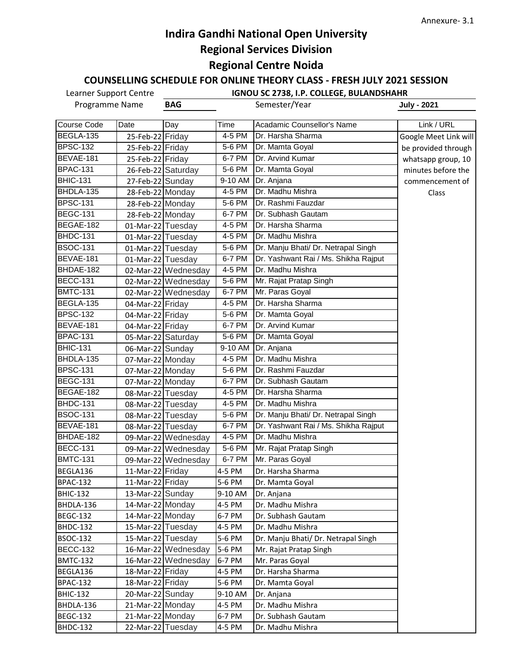### **COUNSELLING SCHEDULE FOR ONLINE THEORY CLASS - FRESH JULY 2021 SESSION**

| Programme Name  |                    | <b>BAG</b>          |                       | Semester/Year                        | <b>July - 2021</b>    |
|-----------------|--------------------|---------------------|-----------------------|--------------------------------------|-----------------------|
| Course Code     | Date               | Day                 | Time                  | Acadamic Counsellor's Name           | Link / URL            |
| BEGLA-135       | 25-Feb-22 Friday   |                     | 4-5 PM                | Dr. Harsha Sharma                    | Google Meet Link will |
| <b>BPSC-132</b> | 25-Feb-22 Friday   |                     | 5-6 PM                | Dr. Mamta Goyal                      | be provided through   |
| BEVAE-181       | 25-Feb-22 Friday   |                     | 6-7 PM                | Dr. Arvind Kumar                     | whatsapp group, 10    |
| <b>BPAC-131</b> |                    | 26-Feb-22 Saturday  | 5-6 PM                | Dr. Mamta Goyal                      | minutes before the    |
| <b>BHIC-131</b> | 27-Feb-22 Sunday   |                     | $\overline{9}$ -10 AM | Dr. Anjana                           | commencement of       |
| BHDLA-135       | 28-Feb-22 Monday   |                     | 4-5 PM                | Dr. Madhu Mishra                     | Class                 |
| <b>BPSC-131</b> | 28-Feb-22 Monday   |                     | 5-6 PM                | Dr. Rashmi Fauzdar                   |                       |
| <b>BEGC-131</b> | 28-Feb-22 Monday   |                     | 6-7 PM                | Dr. Subhash Gautam                   |                       |
| BEGAE-182       | 01-Mar-22 Tuesday  |                     | 4-5 PM                | Dr. Harsha Sharma                    |                       |
| BHDC-131        | 01-Mar-22 Tuesday  |                     | 4-5 PM                | Dr. Madhu Mishra                     |                       |
| <b>BSOC-131</b> | 01-Mar-22 Tuesday  |                     | 5-6 PM                | Dr. Manju Bhati/ Dr. Netrapal Singh  |                       |
| BEVAE-181       | 01-Mar-22 Tuesday  |                     | 6-7 PM                | Dr. Yashwant Rai / Ms. Shikha Rajput |                       |
| BHDAE-182       |                    | 02-Mar-22 Wednesday | 4-5 PM                | Dr. Madhu Mishra                     |                       |
| <b>BECC-131</b> |                    | 02-Mar-22 Wednesday | 5-6 PM                | Mr. Rajat Pratap Singh               |                       |
| <b>BMTC-131</b> |                    | 02-Mar-22 Wednesday | 6-7 PM                | Mr. Paras Goyal                      |                       |
| BEGLA-135       | 04-Mar-22 Friday   |                     | 4-5 PM                | Dr. Harsha Sharma                    |                       |
| <b>BPSC-132</b> | 04-Mar-22 Friday   |                     | 5-6 PM                | Dr. Mamta Goyal                      |                       |
| BEVAE-181       | 04-Mar-22 Friday   |                     | 6-7 PM                | Dr. Arvind Kumar                     |                       |
| <b>BPAC-131</b> | 05-Mar-22 Saturday |                     | 5-6 PM                | Dr. Mamta Goyal                      |                       |
| <b>BHIC-131</b> | 06-Mar-22 Sunday   |                     | 9-10 AM               | Dr. Anjana                           |                       |
| BHDLA-135       | 07-Mar-22 Monday   |                     | 4-5 PM                | Dr. Madhu Mishra                     |                       |
| <b>BPSC-131</b> | 07-Mar-22 Monday   |                     | 5-6 PM                | Dr. Rashmi Fauzdar                   |                       |
| <b>BEGC-131</b> | 07-Mar-22 Monday   |                     | 6-7 PM                | Dr. Subhash Gautam                   |                       |
| BEGAE-182       | 08-Mar-22 Tuesday  |                     | 4-5 PM                | Dr. Harsha Sharma                    |                       |
| <b>BHDC-131</b> | 08-Mar-22 Tuesday  |                     | 4-5 PM                | Dr. Madhu Mishra                     |                       |
| <b>BSOC-131</b> | 08-Mar-22 Tuesday  |                     | 5-6 PM                | Dr. Manju Bhati/ Dr. Netrapal Singh  |                       |
| BEVAE-181       | 08-Mar-22 Tuesday  |                     | 6-7 PM                | Dr. Yashwant Rai / Ms. Shikha Rajput |                       |
| BHDAE-182       |                    | 09-Mar-22 Wednesday | 4-5 PM                | Dr. Madhu Mishra                     |                       |
| <b>BECC-131</b> |                    | 09-Mar-22 Wednesday | 5-6 PM                | Mr. Rajat Pratap Singh               |                       |
| <b>BMTC-131</b> |                    | 09-Mar-22 Wednesday | 6-7 PM                | Mr. Paras Goyal                      |                       |
| BEGLA136        | 11-Mar-22 Friday   |                     | 4-5 PM                | Dr. Harsha Sharma                    |                       |
| <b>BPAC-132</b> | 11-Mar-22 Friday   |                     | 5-6 PM                | Dr. Mamta Goyal                      |                       |
| <b>BHIC-132</b> | 13-Mar-22 Sunday   |                     | 9-10 AM               | Dr. Anjana                           |                       |
| BHDLA-136       | 14-Mar-22 Monday   |                     | 4-5 PM                | Dr. Madhu Mishra                     |                       |
| <b>BEGC-132</b> | 14-Mar-22 Monday   |                     | 6-7 PM                | Dr. Subhash Gautam                   |                       |
| BHDC-132        | 15-Mar-22 Tuesday  |                     | 4-5 PM                | Dr. Madhu Mishra                     |                       |
| <b>BSOC-132</b> | 15-Mar-22 Tuesday  |                     | 5-6 PM                | Dr. Manju Bhati/ Dr. Netrapal Singh  |                       |
| <b>BECC-132</b> |                    | 16-Mar-22 Wednesday | 5-6 PM                | Mr. Rajat Pratap Singh               |                       |
| <b>BMTC-132</b> |                    | 16-Mar-22 Wednesday | 6-7 PM                | Mr. Paras Goyal                      |                       |
| BEGLA136        | 18-Mar-22 Friday   |                     | 4-5 PM                | Dr. Harsha Sharma                    |                       |
| <b>BPAC-132</b> | 18-Mar-22 Friday   |                     | 5-6 PM                | Dr. Mamta Goyal                      |                       |
| <b>BHIC-132</b> | 20-Mar-22 Sunday   |                     | 9-10 AM               | Dr. Anjana                           |                       |
| BHDLA-136       | 21-Mar-22 Monday   |                     | 4-5 PM                | Dr. Madhu Mishra                     |                       |
| <b>BEGC-132</b> | 21-Mar-22 Monday   |                     | 6-7 PM                | Dr. Subhash Gautam                   |                       |
| BHDC-132        | 22-Mar-22 Tuesday  |                     | 4-5 PM                | Dr. Madhu Mishra                     |                       |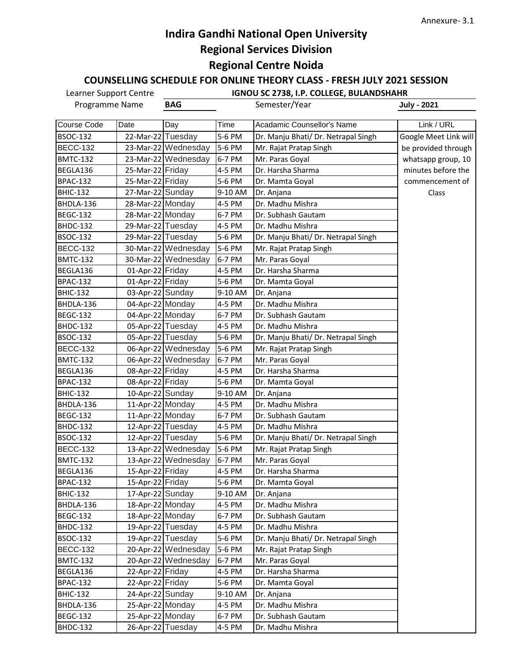**COUNSELLING SCHEDULE FOR ONLINE THEORY CLASS - FRESH JULY 2021 SESSION**

| Programme Name     |                   | <b>BAG</b>          |         | Semester/Year                       | <b>July - 2021</b>    |
|--------------------|-------------------|---------------------|---------|-------------------------------------|-----------------------|
| <b>Course Code</b> | Date              | Day                 | Time    | Acadamic Counsellor's Name          | Link / URL            |
| <b>BSOC-132</b>    | 22-Mar-22 Tuesday |                     | 5-6 PM  | Dr. Manju Bhati/ Dr. Netrapal Singh | Google Meet Link will |
| <b>BECC-132</b>    |                   | 23-Mar-22 Wednesday | 5-6 PM  | Mr. Rajat Pratap Singh              | be provided through   |
| <b>BMTC-132</b>    |                   | 23-Mar-22 Wednesday | 6-7 PM  | Mr. Paras Goyal                     | whatsapp group, 10    |
| BEGLA136           | 25-Mar-22 Friday  |                     | 4-5 PM  | Dr. Harsha Sharma                   | minutes before the    |
| <b>BPAC-132</b>    | 25-Mar-22 Friday  |                     | 5-6 PM  | Dr. Mamta Goyal                     | commencement of       |
| <b>BHIC-132</b>    | 27-Mar-22 Sunday  |                     | 9-10 AM | Dr. Anjana                          | Class                 |
| BHDLA-136          | 28-Mar-22 Monday  |                     | 4-5 PM  | Dr. Madhu Mishra                    |                       |
| <b>BEGC-132</b>    | 28-Mar-22 Monday  |                     | 6-7 PM  | Dr. Subhash Gautam                  |                       |
| <b>BHDC-132</b>    | 29-Mar-22 Tuesday |                     | 4-5 PM  | Dr. Madhu Mishra                    |                       |
| <b>BSOC-132</b>    | 29-Mar-22 Tuesday |                     | 5-6 PM  | Dr. Manju Bhati/ Dr. Netrapal Singh |                       |
| <b>BECC-132</b>    |                   | 30-Mar-22 Wednesday | 5-6 PM  | Mr. Rajat Pratap Singh              |                       |
| <b>BMTC-132</b>    |                   | 30-Mar-22 Wednesday | 6-7 PM  | Mr. Paras Goyal                     |                       |
| BEGLA136           | 01-Apr-22 Friday  |                     | 4-5 PM  | Dr. Harsha Sharma                   |                       |
| <b>BPAC-132</b>    | 01-Apr-22 Friday  |                     | 5-6 PM  | Dr. Mamta Goyal                     |                       |
| <b>BHIC-132</b>    | 03-Apr-22 Sunday  |                     | 9-10 AM | Dr. Anjana                          |                       |
| BHDLA-136          | 04-Apr-22 Monday  |                     | 4-5 PM  | Dr. Madhu Mishra                    |                       |
| <b>BEGC-132</b>    | 04-Apr-22 Monday  |                     | 6-7 PM  | Dr. Subhash Gautam                  |                       |
| <b>BHDC-132</b>    | 05-Apr-22 Tuesday |                     | 4-5 PM  | Dr. Madhu Mishra                    |                       |
| <b>BSOC-132</b>    | 05-Apr-22 Tuesday |                     | 5-6 PM  | Dr. Manju Bhati/ Dr. Netrapal Singh |                       |
| <b>BECC-132</b>    |                   | 06-Apr-22 Wednesday | 5-6 PM  | Mr. Rajat Pratap Singh              |                       |
| <b>BMTC-132</b>    |                   | 06-Apr-22 Wednesday | 6-7 PM  | Mr. Paras Goyal                     |                       |
| BEGLA136           | 08-Apr-22 Friday  |                     | 4-5 PM  | Dr. Harsha Sharma                   |                       |
| <b>BPAC-132</b>    | 08-Apr-22 Friday  |                     | 5-6 PM  | Dr. Mamta Goyal                     |                       |
| <b>BHIC-132</b>    | 10-Apr-22 Sunday  |                     | 9-10 AM | Dr. Anjana                          |                       |
| BHDLA-136          | 11-Apr-22 Monday  |                     | 4-5 PM  | Dr. Madhu Mishra                    |                       |
| <b>BEGC-132</b>    | 11-Apr-22 Monday  |                     | 6-7 PM  | Dr. Subhash Gautam                  |                       |
| <b>BHDC-132</b>    | 12-Apr-22 Tuesday |                     | 4-5 PM  | Dr. Madhu Mishra                    |                       |
| <b>BSOC-132</b>    | 12-Apr-22 Tuesday |                     | 5-6 PM  | Dr. Manju Bhati/ Dr. Netrapal Singh |                       |
| <b>BECC-132</b>    |                   | 13-Apr-22 Wednesday | 5-6 PM  | Mr. Rajat Pratap Singh              |                       |
| <b>BMTC-132</b>    |                   | 13-Apr-22 Wednesday | 6-7 PM  | Mr. Paras Goyal                     |                       |
| BEGLA136           | 15-Apr-22 Friday  |                     | 4-5 PM  | Dr. Harsha Sharma                   |                       |
| <b>BPAC-132</b>    | 15-Apr-22 Friday  |                     | 5-6 PM  | Dr. Mamta Goyal                     |                       |
| <b>BHIC-132</b>    | 17-Apr-22 Sunday  |                     | 9-10 AM | Dr. Anjana                          |                       |
| BHDLA-136          | 18-Apr-22 Monday  |                     | 4-5 PM  | Dr. Madhu Mishra                    |                       |
| <b>BEGC-132</b>    | 18-Apr-22 Monday  |                     | 6-7 PM  | Dr. Subhash Gautam                  |                       |
| BHDC-132           | 19-Apr-22 Tuesday |                     | 4-5 PM  | Dr. Madhu Mishra                    |                       |
| <b>BSOC-132</b>    | 19-Apr-22 Tuesday |                     | 5-6 PM  | Dr. Manju Bhati/ Dr. Netrapal Singh |                       |
| <b>BECC-132</b>    |                   | 20-Apr-22 Wednesday | 5-6 PM  | Mr. Rajat Pratap Singh              |                       |
| <b>BMTC-132</b>    |                   | 20-Apr-22 Wednesday | 6-7 PM  | Mr. Paras Goyal                     |                       |
| BEGLA136           | 22-Apr-22 Friday  |                     | 4-5 PM  | Dr. Harsha Sharma                   |                       |
| <b>BPAC-132</b>    | 22-Apr-22 Friday  |                     | 5-6 PM  | Dr. Mamta Goyal                     |                       |
| <b>BHIC-132</b>    | 24-Apr-22 Sunday  |                     | 9-10 AM | Dr. Anjana                          |                       |
| BHDLA-136          | 25-Apr-22 Monday  |                     | 4-5 PM  | Dr. Madhu Mishra                    |                       |
| <b>BEGC-132</b>    | 25-Apr-22 Monday  |                     | 6-7 PM  | Dr. Subhash Gautam                  |                       |
| BHDC-132           | 26-Apr-22 Tuesday |                     | 4-5 PM  | Dr. Madhu Mishra                    |                       |